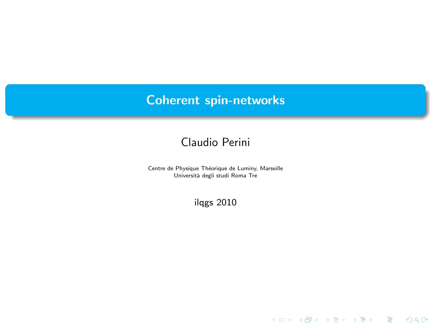# Coherent spin-networks

## Claudio Perini

Centre de Physique Théorique de Luminy, Marseille Università degli studi Roma Tre

ilqgs 2010

メロメ メ都 メメ きょうメモメ

 $299$ 

佳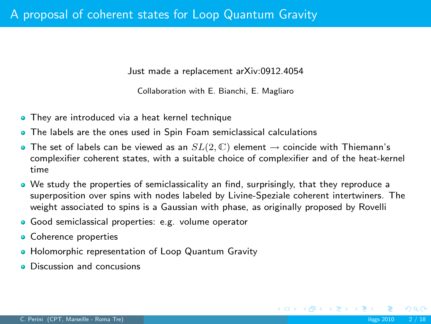Just made a replacement arXiv:0912.4054

Collaboration with E. Bianchi, E. Magliaro

- **They are introduced via a heat kernel technique**
- **•** The labels are the ones used in Spin Foam semiclassical calculations
- The set of labels can be viewed as an  $SL(2,\mathbb{C})$  element  $\rightarrow$  coincide with Thiemann's complexifier coherent states, with a suitable choice of complexifier and of the heat-kernel time
- We study the properties of semiclassicality an find, surprisingly, that they reproduce a superposition over spins with nodes labeled by Livine-Speziale coherent intertwiners. The weight associated to spins is a Gaussian with phase, as originally proposed by Rovelli
- Good semiclassical properties: e.g. volume operator
- **o** Coherence properties
- Holomorphic representation of Loop Quantum Gravity
- **o** Discussion and concusions

 $\Omega$ 

イロト イ母 ト イヨ ト イヨ ト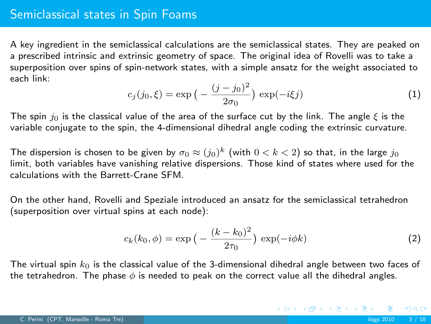A key ingredient in the semiclassical calculations are the semiclassical states. They are peaked on a prescribed intrinsic and extrinsic geometry of space. The original idea of Rovelli was to take a superposition over spins of spin-network states, with a simple ansatz for the weight associated to each link:

$$
c_j(j_0, \xi) = \exp\left(-\frac{(j - j_0)^2}{2\sigma_0}\right) \exp(-i\xi j)
$$
 (1)

The spin  $j_0$  is the classical value of the area of the surface cut by the link. The angle  $\xi$  is the variable conjugate to the spin, the 4-dimensional dihedral angle coding the extrinsic curvature.

The dispersion is chosen to be given by  $\sigma_0 \approx (j_0)^k$  (with  $0 < k < 2)$  so that, in the large  $j_0$ limit, both variables have vanishing relative dispersions. Those kind of states where used for the calculations with the Barrett-Crane SFM.

On the other hand, Rovelli and Speziale introduced an ansatz for the semiclassical tetrahedron (superposition over virtual spins at each node):

$$
c_k(k_0, \phi) = \exp\left(-\frac{(k - k_0)^2}{2\tau_0}\right) \exp(-i\phi k) \tag{2}
$$

K ロ ▶ K 御 ▶ K 君 ▶ K 君 ▶

The virtual spin  $k_0$  is the classical value of the 3-dimensional dihedral angle between two faces of the tetrahedron. The phase  $\phi$  is needed to peak on the correct value all the dihedral angles.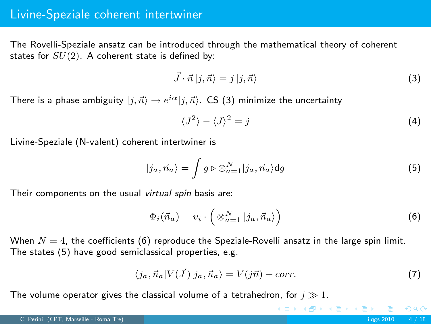### Livine-Speziale coherent intertwiner

The Rovelli-Speziale ansatz can be introduced through the mathematical theory of coherent states for  $SU(2)$ . A coherent state is defined by:

<span id="page-3-0"></span>
$$
\vec{J} \cdot \vec{n} \, |j, \vec{n}\rangle = j \, |j, \vec{n}\rangle \tag{3}
$$

There is a phase ambiguity  $|j,\vec{n}\rangle \rightarrow e^{i\alpha}|j,\vec{n}\rangle$ . CS [\(3\)](#page-3-0) minimize the uncertainty

<span id="page-3-2"></span>
$$
\langle J^2 \rangle - \langle J \rangle^2 = j \tag{4}
$$

Livine-Speziale (N-valent) coherent intertwiner is

$$
|j_a, \vec{n}_a\rangle = \int g \triangleright \otimes_{a=1}^N |j_a, \vec{n}_a\rangle \mathrm{d}g \tag{5}
$$

Their components on the usual virtual spin basis are:

$$
\Phi_i(\vec{n}_a) = v_i \cdot \left( \otimes_{a=1}^N |j_a, \vec{n}_a \rangle \right) \tag{6}
$$

When  $N = 4$ , the coefficients [\(6\)](#page-3-1) reproduce the Speziale-Rovelli ansatz in the large spin limit. The states [\(5\)](#page-3-2) have good semiclassical properties, e.g.

$$
\langle j_a, \vec{n}_a | V(\vec{J}) | j_a, \vec{n}_a \rangle = V(j\vec{n}) + corr. \tag{7}
$$

<span id="page-3-1"></span>イロメ イ部メ イ君メ イ君メー

The volume operator gives the classical volume of a tetrahedron, for  $j \gg 1$ .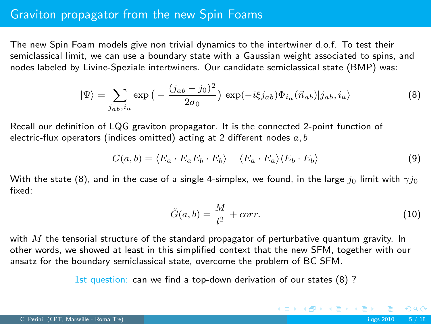## Graviton propagator from the new Spin Foams

The new Spin Foam models give non trivial dynamics to the intertwiner d.o.f. To test their semiclassical limit, we can use a boundary state with a Gaussian weight associated to spins, and nodes labeled by Livine-Speziale intertwiners. Our candidate semiclassical state (BMP) was:

$$
|\Psi\rangle = \sum_{j_{ab}, i_a} \exp\left(-\frac{(j_{ab} - j_0)^2}{2\sigma_0}\right) \exp(-i\xi j_{ab}) \Phi_{i_a}(\vec{n}_{ab}) |j_{ab}, i_a\rangle \tag{8}
$$

Recall our definition of LQG graviton propagator. It is the connected 2-point function of electric-flux operators (indices omitted) acting at 2 different nodes  $a, b$ 

$$
G(a,b) = \langle E_a \cdot E_a E_b \cdot E_b \rangle - \langle E_a \cdot E_a \rangle \langle E_b \cdot E_b \rangle \tag{9}
$$

With the state [\(8\)](#page-4-0), and in the case of a single 4-simplex, we found, in the large  $j_0$  limit with  $\gamma j_0$ fixed:

<span id="page-4-0"></span>
$$
\tilde{G}(a,b) = \frac{M}{l^2} + corr.
$$
\n(10)

K ロ ▶ K 個 ▶ K 君 ▶ K 君 ▶ ...

with  $M$  the tensorial structure of the standard propagator of perturbative quantum gravity. In other words, we showed at least in this simplified context that the new SFM, together with our ansatz for the boundary semiclassical state, overcome the problem of BC SFM.

1st question: can we find a top-down derivation of our states [\(8\)](#page-4-0) ?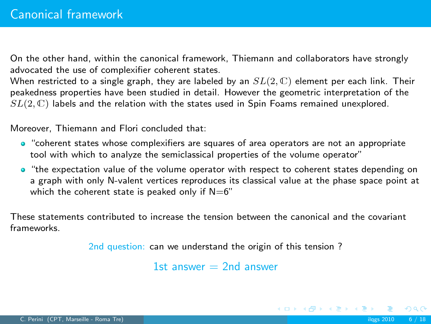On the other hand, within the canonical framework, Thiemann and collaborators have strongly advocated the use of complexifier coherent states.

When restricted to a single graph, they are labeled by an  $SL(2,\mathbb{C})$  element per each link. Their peakedness properties have been studied in detail. However the geometric interpretation of the  $SL(2,\mathbb{C})$  labels and the relation with the states used in Spin Foams remained unexplored.

Moreover, Thiemann and Flori concluded that:

- "coherent states whose complexifiers are squares of area operators are not an appropriate tool with which to analyze the semiclassical properties of the volume operator"
- "the expectation value of the volume operator with respect to coherent states depending on a graph with only N-valent vertices reproduces its classical value at the phase space point at which the coherent state is peaked only if  $N=6$ "

These statements contributed to increase the tension between the canonical and the covariant frameworks.

2nd question: can we understand the origin of this tension ?

1st answer  $= 2$ nd answer

 $QQ$ 

K ロ ▶ K 個 ▶ K 君 ▶ K 君 ▶ ...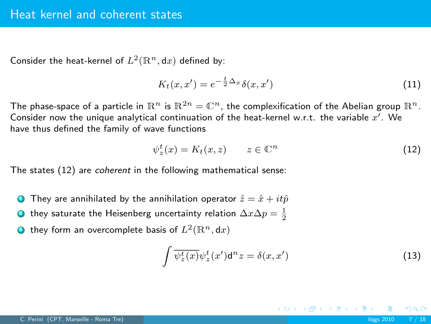Consider the heat-kernel of  $L^2(\mathbb{R}^n,\mathrm{d}x)$  defined by:

$$
K_t(x, x') = e^{-\frac{t}{2}\Delta_x} \delta(x, x')
$$
\n(11)

The phase-space of a particle in  $\mathbb{R}^n$  is  $\mathbb{R}^{2n} = \mathbb{C}^n$ , the complexification of the Abelian group  $\mathbb{R}^n$ . Consider now the unique analytical continuation of the heat-kernel w.r.t. the variable  $x'$ . We have thus defined the family of wave functions

<span id="page-6-0"></span>
$$
\psi_z^t(x) = K_t(x, z) \qquad z \in \mathbb{C}^n \tag{12}
$$

ψ The states [\(12\)](#page-6-0) are coherent in the following mathematical sense:

- They are annihilated by the annihilation operator  $\hat{z} = \hat{x} + it\hat{p}$
- $\textbf{D}$  they saturate the Heisenberg uncertainty relation  $\Delta x \Delta p = \frac{1}{2}$
- $\bullet$  they form an overcomplete basis of  $L^2(\mathbb{R}^n,\mathsf{d} x)$

$$
\int \overline{\psi_z^t(x)} \psi_z^t(x') d^n z = \delta(x, x')
$$
\n(13)

K ロ ▶ K @ ▶ K ミ ▶ K ミ ▶

 $\Omega$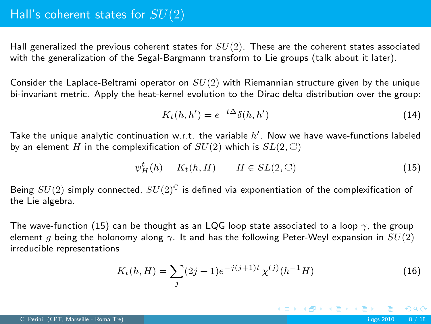Hall generalized the previous coherent states for  $SU(2)$ . These are the coherent states associated with the generalization of the Segal-Bargmann transform to Lie groups (talk about it later).

Consider the Laplace-Beltrami operator on  $SU(2)$  with Riemannian structure given by the unique bi-invariant metric. Apply the heat-kernel evolution to the Dirac delta distribution over the group:

$$
K_t(h, h') = e^{-t\Delta} \delta(h, h')
$$
\n(14)

Take the unique analytic continuation w.r.t. the variable  $h'$ . Now we have wave-functions labeled by an element H in the complexification of  $SU(2)$  which is  $SL(2,\mathbb{C})$ 

$$
\psi_H^t(h) = K_t(h, H) \qquad H \in SL(2, \mathbb{C}) \tag{15}
$$

Being  $SU(2)$  simply connected,  $SU(2)^{\mathbb{C}}$  is defined via exponentiation of the complexification of the Lie algebra.

The wave-function [\(15\)](#page-7-0) can be thought as an LQG loop state associated to a loop  $\gamma$ , the group element q being the holonomy along  $\gamma$ . It and has the following Peter-Weyl expansion in  $SU(2)$ irreducible representations

$$
K_t(h, H) = \sum_j (2j+1)e^{-j(j+1)t} \chi^{(j)}(h^{-1}H)
$$
\n(16)

<span id="page-7-0"></span>イロメ イ部メ イ君メ イ君メー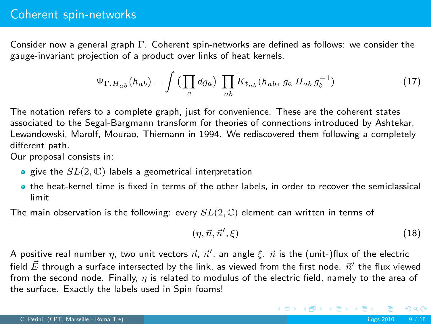Consider now a general graph Γ. Coherent spin-networks are defined as follows: we consider the gauge-invariant projection of a product over links of heat kernels,

$$
\Psi_{\Gamma, H_{ab}}(h_{ab}) = \int \left(\prod_a dg_a\right) \prod_{ab} K_{t_{ab}}(h_{ab}, g_a H_{ab} g_b^{-1})
$$
\n(17)

The notation refers to a complete graph, just for convenience. These are the coherent states associated to the Segal-Bargmann transform for theories of connections introduced by Ashtekar, Lewandowski, Marolf, Mourao, Thiemann in 1994. We rediscovered them following a completely different path.

Our proposal consists in:

- $\bullet$  give the  $SL(2,\mathbb{C})$  labels a geometrical interpretation
- the heat-kernel time is fixed in terms of the other labels, in order to recover the semiclassical limit

The main observation is the following: every  $SL(2,\mathbb{C})$  element can written in terms of

$$
(\eta, \vec{n}, \vec{n}', \xi) \tag{18}
$$

イロメ イ部メ イ君メ イ君メー

A positive real number  $\eta$ , two unit vectors  $\vec{n}$ ,  $\vec{n}'$ , an angle ξ.  $\vec{n}$  is the (unit-)flux of the electric field  $\vec{E}$  through a surface intersected by the link, as viewed from the first node.  $\vec{n}'$  the flux viewed from the second node. Finally,  $\eta$  is related to modulus of the electric field, namely to the area of the surface. Exactly the labels used in Spin foams!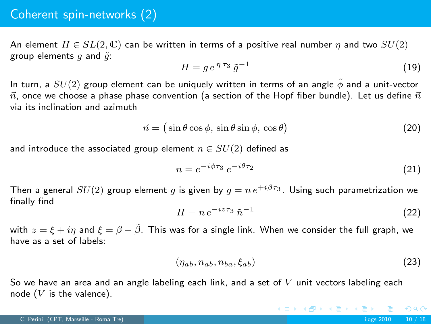## Coherent spin-networks (2)

An element  $H \in SL(2,\mathbb{C})$  can be written in terms of a positive real number  $\eta$  and two  $SU(2)$ group elements  $q$  and  $\tilde{q}$ :

$$
H = g e^{\eta \tau_3} \tilde{g}^{-1} \tag{19}
$$

In turn, a  $SU(2)$  group element can be uniquely written in terms of an angle  $\phi$  and a unit-vector  $\vec{n}$ , once we choose a phase phase convention (a section of the Hopf fiber bundle). Let us define  $\vec{n}$ via its inclination and azimuth

$$
\vec{n} = (\sin \theta \cos \phi, \sin \theta \sin \phi, \cos \theta) \tag{20}
$$

and introduce the associated group element  $n \in SU(2)$  defined as

$$
n = e^{-i\phi\tau_3} e^{-i\theta\tau_2} \tag{21}
$$

Then a general  $SU(2)$  group element q is given by  $q = n e^{i\pi/3}$ . Using such parametrization we finally find

$$
H = n e^{-iz\tau_3} \tilde{n}^{-1} \tag{22}
$$

with  $z = \xi + i\eta$  and  $\xi = \beta - \tilde{\beta}$ . This was for a single link. When we consider the full graph, we have as a set of labels:

$$
(\eta_{ab}, n_{ab}, n_{ba}, \xi_{ab}) \tag{23}
$$

K ロ ▶ K 御 ▶ K 君 ▶ K 君 ▶

So we have an area and an angle labeling each link, and a set of  $V$  unit vectors labeling each node  $(V$  is the valence).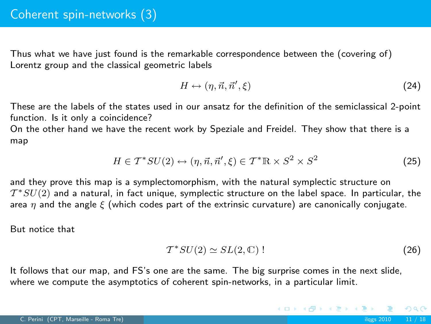Thus what we have just found is the remarkable correspondence between the (covering of) Lorentz group and the classical geometric labels

$$
H \leftrightarrow (\eta, \vec{n}, \vec{n}', \xi) \tag{24}
$$

These are the labels of the states used in our ansatz for the definition of the semiclassical 2-point function. Is it only a coincidence?

On the other hand we have the recent work by Speziale and Freidel. They show that there is a map

$$
H \in \mathcal{T}^*SU(2) \leftrightarrow (\eta, \vec{n}, \vec{n}', \xi) \in \mathcal{T}^* \mathbb{R} \times S^2 \times S^2 \tag{25}
$$

and they prove this map is a symplectomorphism, with the natural symplectic structure on  $\mathcal{T}^{*}SU(2)$  and a natural, in fact unique, symplectic structure on the label space. In particular, the area  $\eta$  and the angle  $\xi$  (which codes part of the extrinsic curvature) are canonically conjugate.

But notice that

$$
\mathcal{T}^*SU(2) \simeq SL(2,\mathbb{C})
$$
 (26)

K ロ ▶ K 御 ▶ K 君 ▶ K 君 ▶

It follows that our map, and FS's one are the same. The big surprise comes in the next slide, where we compute the asymptotics of coherent spin-networks, in a particular limit.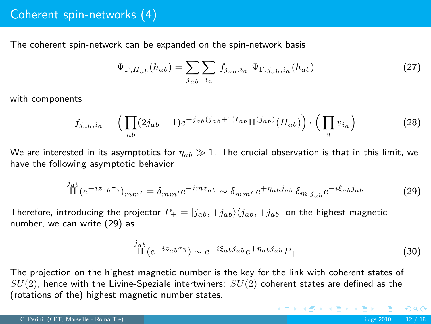The coherent spin-network can be expanded on the spin-network basis

$$
\Psi_{\Gamma, H_{ab}}(h_{ab}) = \sum_{j_{ab}} \sum_{i_a} f_{j_{ab}, i_a} \Psi_{\Gamma, j_{ab}, i_a}(h_{ab})
$$
\n(27)

with components

$$
f_{j_{ab},i_a} = \left(\prod_{ab} (2j_{ab}+1)e^{-j_{ab}(j_{ab}+1)t_{ab}}\Pi^{(j_{ab})}(H_{ab})\right) \cdot \left(\prod_a v_{i_a}\right) \tag{28}
$$

We are interested in its asymptotics for  $\eta_{ab} \gg 1$ . The crucial observation is that in this limit, we have the following asymptotic behavior

$$
\stackrel{j_{ab}}{\Pi}(e^{-iz_{ab}\tau_3})_{mm'} = \delta_{mm'}e^{-imz_{ab}} \sim \delta_{mm'}e^{+\eta_{ab}j_{ab}}\,\delta_{m,j_{ab}}e^{-i\xi_{ab}j_{ab}}\tag{29}
$$

Therefore, introducing the projector  $P_+ = |j_{ab}, +j_{ab}\rangle\langle j_{ab}, +j_{ab}|$  on the highest magnetic number, we can write [\(29\)](#page-11-0) as

$$
\prod_{\text{II}}^{j_{ab}} (e^{-iz_{ab}\tau_3}) \sim e^{-i\xi_{ab}j_{ab}} e^{+\eta_{ab}j_{ab}} P_+\tag{30}
$$

<span id="page-11-0"></span>メロメ メ都 メメ きょくきょう

The projection on the highest magnetic number is the key for the link with coherent states of  $SU(2)$ , hence with the Livine-Speziale intertwiners:  $SU(2)$  coherent states are defined as the (rotations of the) highest magnetic number states.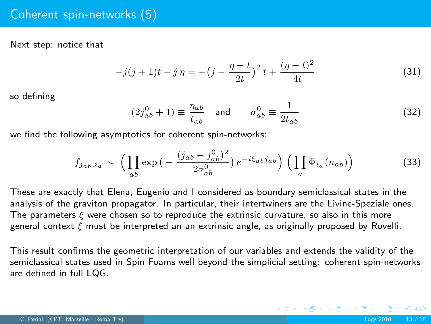Next step: notice that

$$
-j(j+1)t + j\eta = -(j - \frac{\eta - t}{2t})^2 t + \frac{(\eta - t)^2}{4t}
$$
\n(31)

so defining

$$
(2j_{ab}^0 + 1) \equiv \frac{\eta_{ab}}{t_{ab}} \quad \text{and} \quad \sigma_{ab}^0 \equiv \frac{1}{2t_{ab}} \tag{32}
$$

we find the following asymptotics for coherent spin-networks:

$$
f_{j_{ab},i_a} \sim \left(\prod_{ab} \exp\left(-\frac{(j_{ab} - j_{ab}^0)^2}{2\sigma_{ab}^0}\right) e^{-i\xi_{ab}j_{ab}}\right) \left(\prod_a \Phi_{i_a}(n_{ab})\right)
$$
(33)

These are exactly that Elena, Eugenio and I considered as boundary semiclassical states in the analysis of the graviton propagator. In particular, their intertwiners are the Livine-Speziale ones. The parameters  $\xi$  were chosen so to reproduce the extrinsic curvature, so also in this more general context ξ must be interpreted an an extrinsic angle, as originally proposed by Rovelli.

This result confirms the geometric interpretation of our variables and extends the validity of the semiclassical states used in Spin Foams well beyond the simplicial setting: coherent spin-networks are defined in full LQG.

 $\Omega$ 

K ロ ▶ K 御 ▶ K 君 ▶ K 君 ▶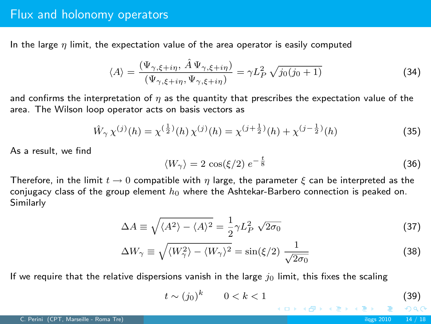### Flux and holonomy operators

In the large  $\eta$  limit, the expectation value of the area operator is easily computed

$$
\langle A \rangle = \frac{(\Psi_{\gamma,\xi+i\eta}, \hat{A}\Psi_{\gamma,\xi+i\eta})}{(\Psi_{\gamma,\xi+i\eta}, \Psi_{\gamma,\xi+i\eta})} = \gamma L_P^2 \sqrt{j_0(j_0+1)} \tag{34}
$$

and confirms the interpretation of  $\eta$  as the quantity that prescribes the expectation value of the area. The Wilson loop operator acts on basis vectors as

$$
\hat{W}_{\gamma} \chi^{(j)}(h) = \chi^{(\frac{1}{2})}(h) \chi^{(j)}(h) = \chi^{(j + \frac{1}{2})}(h) + \chi^{(j - \frac{1}{2})}(h)
$$
\n(35)

As a result, we find

$$
\langle W_{\gamma} \rangle = 2 \cos(\xi/2) e^{-\frac{t}{8}}
$$
 (36)

Therefore, in the limit  $t \to 0$  compatible with  $\eta$  large, the parameter  $\xi$  can be interpreted as the conjugacy class of the group element  $h_0$  where the Ashtekar-Barbero connection is peaked on. Similarly

$$
\Delta A \equiv \sqrt{\langle A^2 \rangle - \langle A \rangle^2} = \frac{1}{2} \gamma L_P^2 \sqrt{2\sigma_0}
$$
 (37)

$$
\Delta W_{\gamma} \equiv \sqrt{\langle W_{\gamma}^2 \rangle - \langle W_{\gamma} \rangle^2} = \sin(\xi/2) \frac{1}{\sqrt{2\sigma_0}}
$$
(38)

If we require that the relative dispersions vanish in the large  $j_0$  limit, this fixes the scaling

$$
t \sim (j_0)^k \qquad 0 < k < 1 \tag{39}
$$

K ロ ▶ K 御 ▶ K 君 ▶ K 君 ▶

 $\Omega$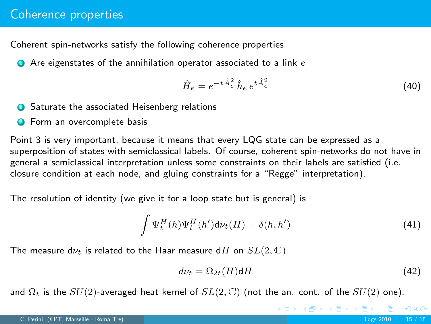Coherent spin-networks satisfy the following coherence properties

 $\bullet$  Are eigenstates of the annihilation operator associated to a link  $e$ 

$$
\hat{H}_e = e^{-t\hat{A}_e^2} \hat{h}_e e^{t\hat{A}_e^2} \tag{40}
$$

- <sup>2</sup> Saturate the associated Heisenberg relations
- **3** Form an overcomplete basis

Point 3 is very important, because it means that every LQG state can be expressed as a superposition of states with semiclassical labels. Of course, coherent spin-networks do not have in general a semiclassical interpretation unless some constraints on their labels are satisfied (i.e. closure condition at each node, and gluing constraints for a "Regge" interpretation).

The resolution of identity (we give it for a loop state but is general) is

$$
\int \overline{\Psi_t^H(h)} \Psi_t^H(h') d\nu_t(H) = \delta(h, h')
$$
\n(41)

The measure d $\nu_t$  is related to the Haar measure dH on  $SL(2,\mathbb{C})$ 

$$
d\nu_t = \Omega_{2t}(H)\mathsf{d}H\tag{42}
$$

イロメ イ部メ イ君メ イ君メー

and  $\Omega_t$  is the  $SU(2)$ -averaged heat kernel of  $SL(2,\mathbb{C})$  (not the an. cont. of the  $SU(2)$  one).

 $-990$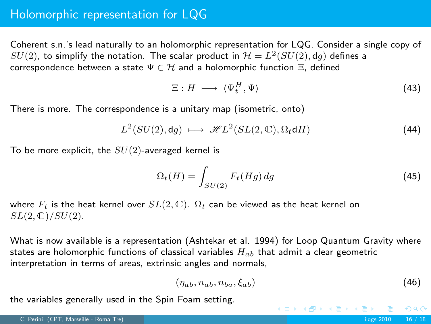## Holomorphic representation for LQG

Coherent s.n.'s lead naturally to an holomorphic representation for LQG. Consider a single copy of  $SU(2)$ , to simplify the notation. The scalar product in  ${\cal H}=L^2(SU(2),\mathsf{d} g)$  defines a correspondence between a state  $\Psi \in \mathcal{H}$  and a holomorphic function  $\Xi$ , defined

$$
\Xi: H \,\longmapsto\, \langle \Psi_t^H, \Psi \rangle \tag{43}
$$

There is more. The correspondence is a unitary map (isometric, onto)

$$
L^{2}(SU(2),\mathrm{d}g)\ \longmapsto\ \mathscr{H}L^{2}(SL(2,\mathbb{C}),\Omega_{t}\mathrm{d}H)\tag{44}
$$

To be more explicit, the  $SU(2)$ -averaged kernel is

$$
\Omega_t(H) = \int_{SU(2)} F_t(Hg) \, dg \tag{45}
$$

where  $F_t$  is the heat kernel over  $SL(2,\mathbb{C})$ .  $\Omega_t$  can be viewed as the heat kernel on  $SL(2,\mathbb{C})/SU(2)$ .

What is now available is a representation (Ashtekar et al. 1994) for Loop Quantum Gravity where states are holomorphic functions of classical variables  $H_{ab}$  that admit a clear geometric interpretation in terms of areas, extrinsic angles and normals,

$$
(\eta_{ab}, n_{ab}, n_{ba}, \xi_{ab}) \tag{46}
$$

K ロンバイ (型) X (型) X (型) X (型)

the variables generally used in the Spin Foam setting.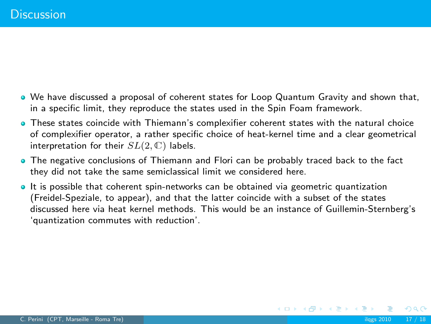- We have discussed a proposal of coherent states for Loop Quantum Gravity and shown that, in a specific limit, they reproduce the states used in the Spin Foam framework.
- These states coincide with Thiemann's complexifier coherent states with the natural choice of complexifier operator, a rather specific choice of heat-kernel time and a clear geometrical interpretation for their  $SL(2,\mathbb{C})$  labels.
- The negative conclusions of Thiemann and Flori can be probably traced back to the fact they did not take the same semiclassical limit we considered here.
- It is possible that coherent spin-networks can be obtained via geometric quantization (Freidel-Speziale, to appear), and that the latter coincide with a subset of the states discussed here via heat kernel methods. This would be an instance of Guillemin-Sternberg's 'quantization commutes with reduction'.

 $2Q$ 

**≮ロト ⊀個 ▶ ⊀ ヨ ▶ ⊀ ヨ ▶**